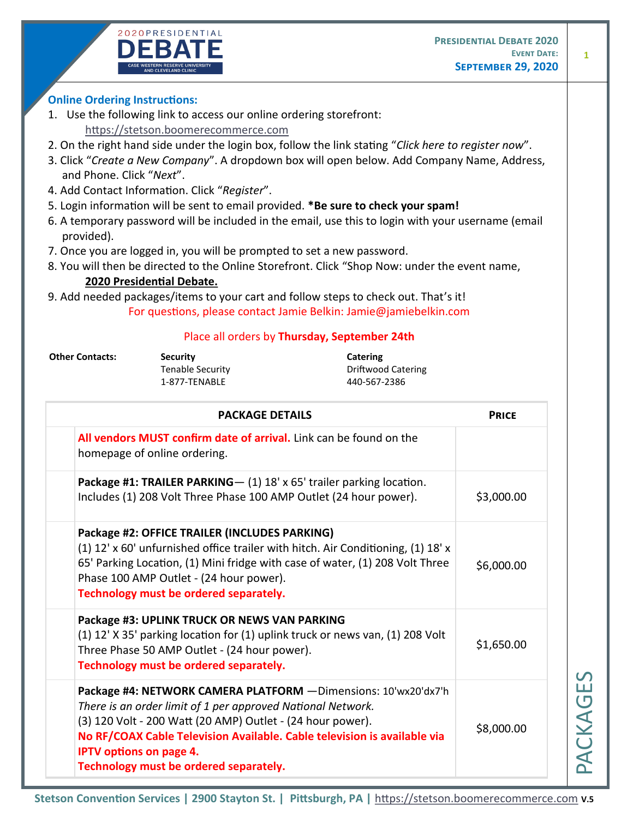



## **Online Ordering Instructions:**

1. Use the following link to access our online ordering storefront:

[https://stetson.boomerecommerce.com](https://stetson.boomerecommerce.com/)

- 2. On the right hand side under the login box, follow the link stating "*Click here to register now*".
- 3. Click "*Create a New Company*". A dropdown box will open below. Add Company Name, Address, and Phone. Click "*Next*".
- 4. Add Contact Information. Click "*Register*".
- 5. Login information will be sent to email provided. **\*Be sure to check your spam!**
- 6. A temporary password will be included in the email, use this to login with your username (email provided).
- 7. Once you are logged in, you will be prompted to set a new password.
- 8. You will then be directed to the Online Storefront. Click "Shop Now: under the event name, **2020 Presidential Debate.**
- 9. Add needed packages/items to your cart and follow steps to check out. That's it! For questions, please contact Jamie Belkin: Jamie@jamiebelkin.com

## Place all orders by **Thursday, September 24th**

**Other Contacts: Security Catering**

1-877-TENABLE 440-567-2386

Tenable Security **Tenable Security Driftwood Catering** 

| <b>PACKAGE DETAILS</b>                                                                                                                                                                                                                                                                                                                               | <b>PRICE</b> |
|------------------------------------------------------------------------------------------------------------------------------------------------------------------------------------------------------------------------------------------------------------------------------------------------------------------------------------------------------|--------------|
| All vendors MUST confirm date of arrival. Link can be found on the<br>homepage of online ordering.                                                                                                                                                                                                                                                   |              |
| Package #1: TRAILER PARKING- (1) 18' x 65' trailer parking location.<br>Includes (1) 208 Volt Three Phase 100 AMP Outlet (24 hour power).                                                                                                                                                                                                            | \$3,000.00   |
| Package #2: OFFICE TRAILER (INCLUDES PARKING)<br>(1) 12' x 60' unfurnished office trailer with hitch. Air Conditioning, (1) 18' x<br>65' Parking Location, (1) Mini fridge with case of water, (1) 208 Volt Three<br>Phase 100 AMP Outlet - (24 hour power).<br>Technology must be ordered separately.                                               | \$6,000.00   |
| Package #3: UPLINK TRUCK OR NEWS VAN PARKING<br>(1) 12' X 35' parking location for (1) uplink truck or news van, (1) 208 Volt<br>Three Phase 50 AMP Outlet - (24 hour power).<br>Technology must be ordered separately.                                                                                                                              | \$1,650.00   |
| Package #4: NETWORK CAMERA PLATFORM - Dimensions: 10'wx20'dx7'h<br>There is an order limit of 1 per approved National Network.<br>(3) 120 Volt - 200 Watt (20 AMP) Outlet - (24 hour power).<br>No RF/COAX Cable Television Available. Cable television is available via<br><b>IPTV options on page 4.</b><br>Technology must be ordered separately. | \$8,000.00   |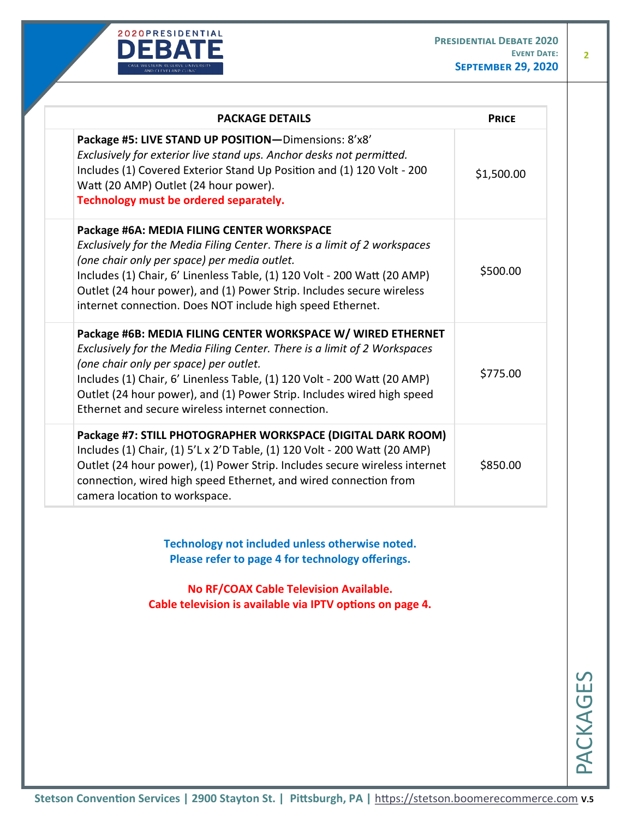

**2**

| <b>PACKAGE DETAILS</b>                                                                                                                                                                                                                                                                                                                                                                         |            |
|------------------------------------------------------------------------------------------------------------------------------------------------------------------------------------------------------------------------------------------------------------------------------------------------------------------------------------------------------------------------------------------------|------------|
| Package #5: LIVE STAND UP POSITION-Dimensions: 8'x8'<br>Exclusively for exterior live stand ups. Anchor desks not permitted.<br>Includes (1) Covered Exterior Stand Up Position and (1) 120 Volt - 200<br>Watt (20 AMP) Outlet (24 hour power).<br>Technology must be ordered separately.                                                                                                      | \$1,500.00 |
| Package #6A: MEDIA FILING CENTER WORKSPACE<br>Exclusively for the Media Filing Center. There is a limit of 2 workspaces<br>(one chair only per space) per media outlet.<br>Includes (1) Chair, 6' Linenless Table, (1) 120 Volt - 200 Watt (20 AMP)<br>Outlet (24 hour power), and (1) Power Strip. Includes secure wireless<br>internet connection. Does NOT include high speed Ethernet.     | \$500.00   |
| Package #6B: MEDIA FILING CENTER WORKSPACE W/ WIRED ETHERNET<br>Exclusively for the Media Filing Center. There is a limit of 2 Workspaces<br>(one chair only per space) per outlet.<br>Includes (1) Chair, 6' Linenless Table, (1) 120 Volt - 200 Watt (20 AMP)<br>Outlet (24 hour power), and (1) Power Strip. Includes wired high speed<br>Ethernet and secure wireless internet connection. | \$775.00   |
| Package #7: STILL PHOTOGRAPHER WORKSPACE (DIGITAL DARK ROOM)<br>Includes (1) Chair, (1) 5'L x 2'D Table, (1) 120 Volt - 200 Watt (20 AMP)<br>Outlet (24 hour power), (1) Power Strip. Includes secure wireless internet<br>connection, wired high speed Ethernet, and wired connection from<br>camera location to workspace.                                                                   | \$850.00   |

**Technology not included unless otherwise noted. Please refer to page 4 for technology offerings.** 

**No RF/COAX Cable Television Available. Cable television is available via IPTV options on page 4.**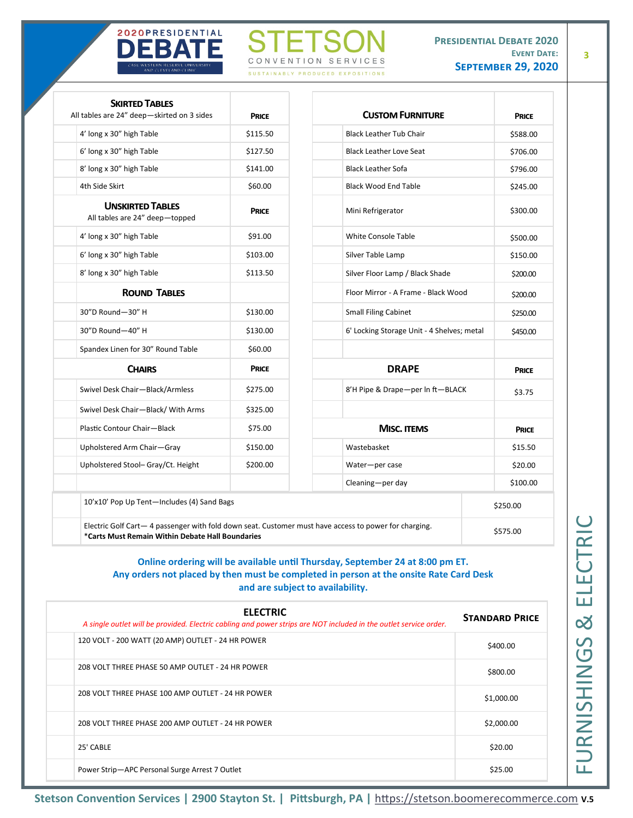



**3**

| <b>SKIRTED TABLES</b><br>All tables are 24" deep-skirted on 3 sides | <b>PRICE</b> | <b>CUSTOM FURNITURE</b>                                                                                | <b>PRICE</b> |
|---------------------------------------------------------------------|--------------|--------------------------------------------------------------------------------------------------------|--------------|
| 4' long x 30" high Table                                            | \$115.50     | <b>Black Leather Tub Chair</b>                                                                         | \$588.00     |
| 6' long x 30" high Table                                            | \$127.50     | <b>Black Leather Love Seat</b>                                                                         | \$706.00     |
| 8' long x 30" high Table                                            | \$141.00     | <b>Black Leather Sofa</b>                                                                              | \$796.00     |
| 4th Side Skirt                                                      | \$60.00      | <b>Black Wood End Table</b>                                                                            | \$245.00     |
| <b>UNSKIRTED TABLES</b><br>All tables are 24" deep-topped           | <b>PRICE</b> | Mini Refrigerator                                                                                      | \$300.00     |
| 4' long x 30" high Table                                            | \$91.00      | White Console Table                                                                                    | \$500.00     |
| 6' long x 30" high Table                                            | \$103.00     | Silver Table Lamp                                                                                      | \$150.00     |
| 8' long x 30" high Table                                            | \$113.50     | Silver Floor Lamp / Black Shade                                                                        | \$200.00     |
| <b>ROUND TABLES</b>                                                 |              | Floor Mirror - A Frame - Black Wood                                                                    | \$200.00     |
| 30"D Round-30" H                                                    | \$130.00     | <b>Small Filing Cabinet</b>                                                                            | \$250.00     |
| 30"D Round-40" H                                                    | \$130.00     | 6' Locking Storage Unit - 4 Shelves; metal                                                             | \$450.00     |
| Spandex Linen for 30" Round Table                                   | \$60.00      |                                                                                                        |              |
| <b>CHAIRS</b>                                                       | <b>PRICE</b> | <b>DRAPE</b>                                                                                           | <b>PRICE</b> |
| Swivel Desk Chair-Black/Armless                                     | \$275.00     | 8'H Pipe & Drape-per In ft-BLACK                                                                       | \$3.75       |
| Swivel Desk Chair-Black/ With Arms                                  | \$325.00     |                                                                                                        |              |
| Plastic Contour Chair-Black                                         | \$75.00      | <b>MISC. ITEMS</b>                                                                                     | <b>PRICE</b> |
| Upholstered Arm Chair-Gray                                          | \$150.00     | Wastebasket                                                                                            | \$15.50      |
| Upholstered Stool- Gray/Ct. Height                                  | \$200.00     | Water-per case                                                                                         | \$20.00      |
|                                                                     |              | Cleaning-per day                                                                                       | \$100.00     |
| 10'x10' Pop Up Tent-Includes (4) Sand Bags                          |              |                                                                                                        | \$250.00     |
| *Carts Must Remain Within Debate Hall Boundaries                    |              | Electric Golf Cart - 4 passenger with fold down seat. Customer must have access to power for charging. | \$575.00     |

## **Online ordering will be available until Thursday, September 24 at 8:00 pm ET. Any orders not placed by then must be completed in person at the onsite Rate Card Desk and are subject to availability.**

| <b>ELECTRIC</b><br>A single outlet will be provided. Electric cabling and power strips are NOT included in the outlet service order. | <b>STANDARD PRICE</b> |
|--------------------------------------------------------------------------------------------------------------------------------------|-----------------------|
| 120 VOLT - 200 WATT (20 AMP) OUTLET - 24 HR POWER                                                                                    | \$400.00              |
| 208 VOLT THREE PHASE 50 AMP OUTLET - 24 HR POWER                                                                                     | \$800.00              |
| 208 VOLT THREE PHASE 100 AMP OUTLET - 24 HR POWER                                                                                    | \$1,000.00            |
| 208 VOLT THREE PHASE 200 AMP OUTLET - 24 HR POWER                                                                                    | \$2,000.00            |
| 25' CABLE                                                                                                                            | \$20.00               |
| Power Strip-APC Personal Surge Arrest 7 Outlet                                                                                       | \$25.00               |

**Stetson Convention Services | 2900 Stayton St. | Pittsburgh, PA |** [https://stetson.boomerecommerce.com](https://stetson.boomerecommerce.com/) **V.5**